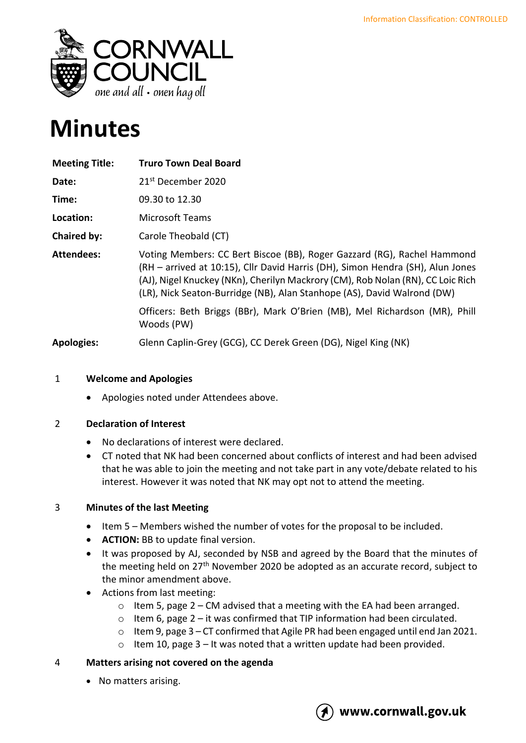

# **Minutes**

| <b>Meeting Title:</b> | <b>Truro Town Deal Board</b>                                                                                                                                                                                                                                                                                            |
|-----------------------|-------------------------------------------------------------------------------------------------------------------------------------------------------------------------------------------------------------------------------------------------------------------------------------------------------------------------|
| Date:                 | 21 <sup>st</sup> December 2020                                                                                                                                                                                                                                                                                          |
| Time:                 | 09.30 to 12.30                                                                                                                                                                                                                                                                                                          |
| Location:             | <b>Microsoft Teams</b>                                                                                                                                                                                                                                                                                                  |
| Chaired by:           | Carole Theobald (CT)                                                                                                                                                                                                                                                                                                    |
| <b>Attendees:</b>     | Voting Members: CC Bert Biscoe (BB), Roger Gazzard (RG), Rachel Hammond<br>(RH - arrived at 10:15), Cllr David Harris (DH), Simon Hendra (SH), Alun Jones<br>(AJ), Nigel Knuckey (NKn), Cherilyn Mackrory (CM), Rob Nolan (RN), CC Loic Rich<br>(LR), Nick Seaton-Burridge (NB), Alan Stanhope (AS), David Walrond (DW) |
|                       | Officers: Beth Briggs (BBr), Mark O'Brien (MB), Mel Richardson (MR), Phill<br>Woods (PW)                                                                                                                                                                                                                                |
| <b>Apologies:</b>     | Glenn Caplin-Grey (GCG), CC Derek Green (DG), Nigel King (NK)                                                                                                                                                                                                                                                           |

# 1 **Welcome and Apologies**

• Apologies noted under Attendees above.

# 2 **Declaration of Interest**

- No declarations of interest were declared.
- CT noted that NK had been concerned about conflicts of interest and had been advised that he was able to join the meeting and not take part in any vote/debate related to his interest. However it was noted that NK may opt not to attend the meeting.

# 3 **Minutes of the last Meeting**

- Item 5 Members wished the number of votes for the proposal to be included.
- **ACTION:** BB to update final version.
- It was proposed by AJ, seconded by NSB and agreed by the Board that the minutes of the meeting held on 27<sup>th</sup> November 2020 be adopted as an accurate record, subject to the minor amendment above.
- Actions from last meeting:
	- $\circ$  Item 5, page 2 CM advised that a meeting with the EA had been arranged.
	- o Item 6, page 2 it was confirmed that TIP information had been circulated.
	- o Item 9, page 3 CT confirmed that Agile PR had been engaged until end Jan 2021.
	- $\circ$  Item 10, page 3 It was noted that a written update had been provided.

# 4 **Matters arising not covered on the agenda**

• No matters arising.

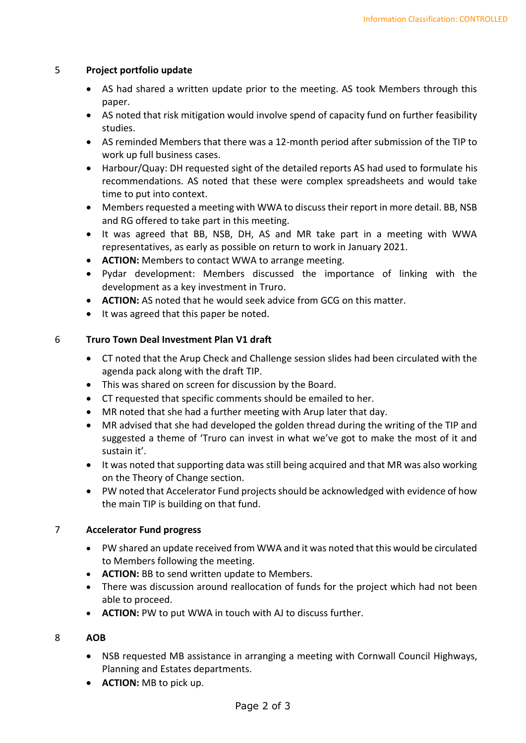#### 5 **Project portfolio update**

- AS had shared a written update prior to the meeting. AS took Members through this paper.
- AS noted that risk mitigation would involve spend of capacity fund on further feasibility studies.
- AS reminded Members that there was a 12-month period after submission of the TIP to work up full business cases.
- Harbour/Quay: DH requested sight of the detailed reports AS had used to formulate his recommendations. AS noted that these were complex spreadsheets and would take time to put into context.
- Members requested a meeting with WWA to discuss their report in more detail. BB, NSB and RG offered to take part in this meeting.
- It was agreed that BB, NSB, DH, AS and MR take part in a meeting with WWA representatives, as early as possible on return to work in January 2021.
- **ACTION:** Members to contact WWA to arrange meeting.
- Pydar development: Members discussed the importance of linking with the development as a key investment in Truro.
- **ACTION:** AS noted that he would seek advice from GCG on this matter.
- It was agreed that this paper be noted.

# 6 **Truro Town Deal Investment Plan V1 draft**

- CT noted that the Arup Check and Challenge session slides had been circulated with the agenda pack along with the draft TIP.
- This was shared on screen for discussion by the Board.
- CT requested that specific comments should be emailed to her.
- MR noted that she had a further meeting with Arup later that day.
- MR advised that she had developed the golden thread during the writing of the TIP and suggested a theme of 'Truro can invest in what we've got to make the most of it and sustain it'.
- It was noted that supporting data was still being acquired and that MR was also working on the Theory of Change section.
- PW noted that Accelerator Fund projects should be acknowledged with evidence of how the main TIP is building on that fund.

# 7 **Accelerator Fund progress**

- PW shared an update received from WWA and it was noted that this would be circulated to Members following the meeting.
- **ACTION:** BB to send written update to Members.
- There was discussion around reallocation of funds for the project which had not been able to proceed.
- **ACTION:** PW to put WWA in touch with AJ to discuss further.

#### 8 **AOB**

- NSB requested MB assistance in arranging a meeting with Cornwall Council Highways, Planning and Estates departments.
- **ACTION:** MB to pick up.